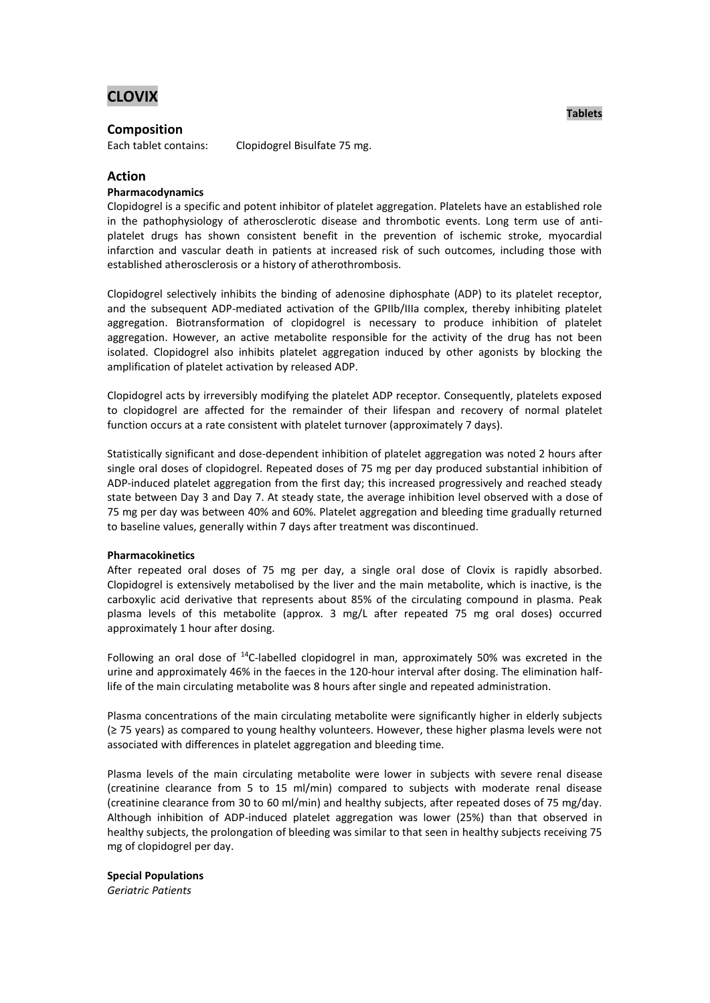# **CLOVIX**

# **Composition**

Each tablet contains: Clopidogrel Bisulfate 75 mg.

**Action**

# **Pharmacodynamics**

Clopidogrel is a specific and potent inhibitor of platelet aggregation. Platelets have an established role in the pathophysiology of atherosclerotic disease and thrombotic events. Long term use of antiplatelet drugs has shown consistent benefit in the prevention of ischemic stroke, myocardial infarction and vascular death in patients at increased risk of such outcomes, including those with established atherosclerosis or a history of atherothrombosis.

Clopidogrel selectively inhibits the binding of adenosine diphosphate (ADP) to its platelet receptor, and the subsequent ADP-mediated activation of the GPIIb/IIIa complex, thereby inhibiting platelet aggregation. Biotransformation of clopidogrel is necessary to produce inhibition of platelet aggregation. However, an active metabolite responsible for the activity of the drug has not been isolated. Clopidogrel also inhibits platelet aggregation induced by other agonists by blocking the amplification of platelet activation by released ADP.

Clopidogrel acts by irreversibly modifying the platelet ADP receptor. Consequently, platelets exposed to clopidogrel are affected for the remainder of their lifespan and recovery of normal platelet function occurs at a rate consistent with platelet turnover (approximately 7 days).

Statistically significant and dose-dependent inhibition of platelet aggregation was noted 2 hours after single oral doses of clopidogrel. Repeated doses of 75 mg per day produced substantial inhibition of ADP-induced platelet aggregation from the first day; this increased progressively and reached steady state between Day 3 and Day 7. At steady state, the average inhibition level observed with a dose of 75 mg per day was between 40% and 60%. Platelet aggregation and bleeding time gradually returned to baseline values, generally within 7 days after treatment was discontinued.

### **Pharmacokinetics**

After repeated oral doses of 75 mg per day, a single oral dose of Clovix is rapidly absorbed. Clopidogrel is extensively metabolised by the liver and the main metabolite, which is inactive, is the carboxylic acid derivative that represents about 85% of the circulating compound in plasma. Peak plasma levels of this metabolite (approx. 3 mg/L after repeated 75 mg oral doses) occurred approximately 1 hour after dosing.

Following an oral dose of <sup>14</sup>C-labelled clopidogrel in man, approximately 50% was excreted in the urine and approximately 46% in the faeces in the 120-hour interval after dosing. The elimination halflife of the main circulating metabolite was 8 hours after single and repeated administration.

Plasma concentrations of the main circulating metabolite were significantly higher in elderly subjects (≥ 75 years) as compared to young healthy volunteers. However, these higher plasma levels were not associated with differences in platelet aggregation and bleeding time.

Plasma levels of the main circulating metabolite were lower in subjects with severe renal disease (creatinine clearance from 5 to 15 ml/min) compared to subjects with moderate renal disease (creatinine clearance from 30 to 60 ml/min) and healthy subjects, after repeated doses of 75 mg/day. Although inhibition of ADP-induced platelet aggregation was lower (25%) than that observed in healthy subjects, the prolongation of bleeding was similar to that seen in healthy subjects receiving 75 mg of clopidogrel per day.

**Special Populations** *Geriatric Patients*

**Tablets**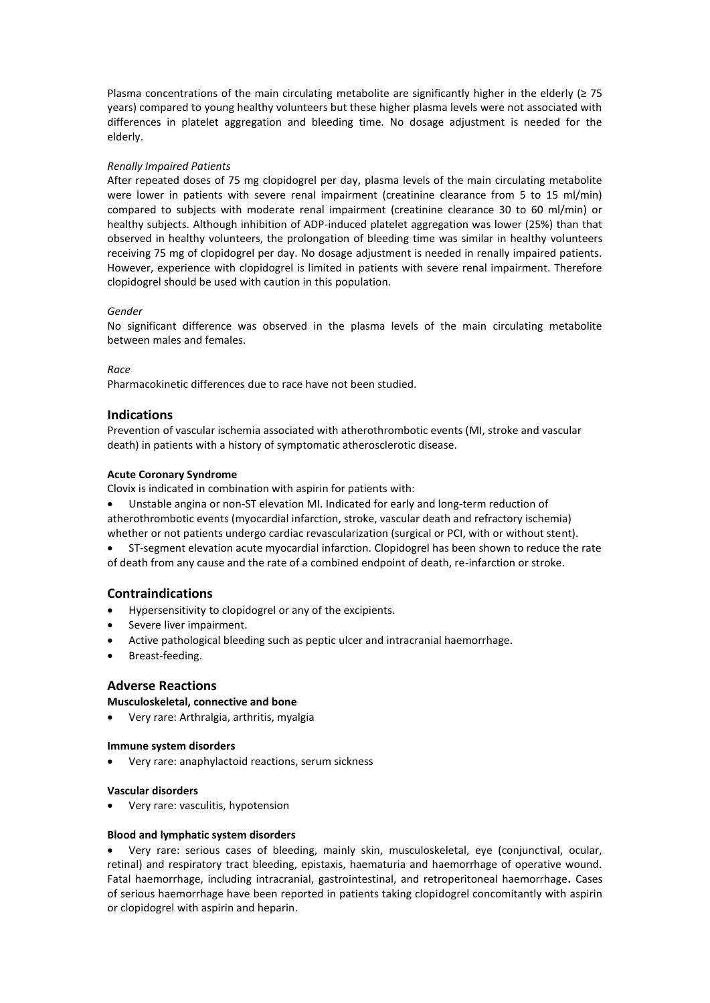Plasma concentrations of the main circulating metabolite are significantly higher in the elderly ( $\geq$  75 years) compared to young healthy volunteers but these higher plasma levels were not associated with differences in platelet aggregation and bleeding time. No dosage adjustment is needed for the elderly.

# *Renally Impaired Patients*

After repeated doses of 75 mg clopidogrel per day, plasma levels of the main circulating metabolite were lower in patients with severe renal impairment (creatinine clearance from 5 to 15 ml/min) compared to subjects with moderate renal impairment (creatinine clearance 30 to 60 ml/min) or healthy subjects. Although inhibition of ADP-induced platelet aggregation was lower (25%) than that observed in healthy volunteers, the prolongation of bleeding time was similar in healthy volunteers receiving 75 mg of clopidogrel per day. No dosage adjustment is needed in renally impaired patients. However, experience with clopidogrel is limited in patients with severe renal impairment. Therefore clopidogrel should be used with caution in this population.

# *Gender*

No significant difference was observed in the plasma levels of the main circulating metabolite between males and females.

### *Race*

Pharmacokinetic differences due to race have not been studied.

# **Indications**

Prevention of vascular ischemia associated with atherothrombotic events (MI, stroke and vascular death) in patients with a history of symptomatic atherosclerotic disease.

# **Acute Coronary Syndrome**

Clovix is indicated in combination with aspirin for patients with:

- Unstable angina or non-ST elevation MI. Indicated for early and long-term reduction of atherothrombotic events (myocardial infarction, stroke, vascular death and refractory ischemia) whether or not patients undergo cardiac revascularization (surgical or PCI, with or without stent).
- ST-segment elevation acute myocardial infarction. Clopidogrel has been shown to reduce the rate of death from any cause and the rate of a combined endpoint of death, re-infarction or stroke.

# **Contraindications**

- Hypersensitivity to clopidogrel or any of the excipients.
- Severe liver impairment.
- Active pathological bleeding such as peptic ulcer and intracranial haemorrhage.
- Breast-feeding.

# **Adverse Reactions**

### **Musculoskeletal, connective and bone**

Very rare: Arthralgia, arthritis, myalgia

### **Immune system disorders**

Very rare: anaphylactoid reactions, serum sickness

### **Vascular disorders**

Very rare: vasculitis, hypotension

### **Blood and lymphatic system disorders**

 Very rare: serious cases of bleeding, mainly skin, musculoskeletal, eye (conjunctival, ocular, retinal) and respiratory tract bleeding, epistaxis, haematuria and haemorrhage of operative wound. Fatal haemorrhage, including intracranial, gastrointestinal, and retroperitoneal haemorrhage**.** Cases of serious haemorrhage have been reported in patients taking clopidogrel concomitantly with aspirin or clopidogrel with aspirin and heparin.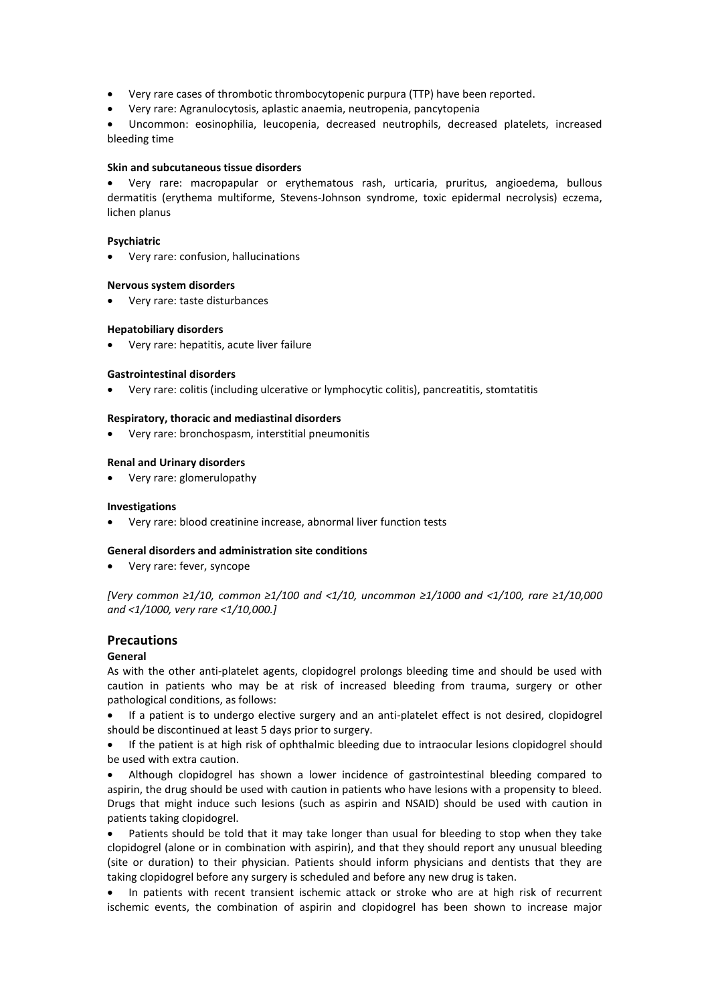- Very rare cases of thrombotic thrombocytopenic purpura (TTP) have been reported.
- Very rare: Agranulocytosis, aplastic anaemia, neutropenia, pancytopenia

 Uncommon: eosinophilia, leucopenia, decreased neutrophils, decreased platelets, increased bleeding time

#### **Skin and subcutaneous tissue disorders**

 Very rare: macropapular or erythematous rash, urticaria, pruritus, angioedema, bullous dermatitis (erythema multiforme, Stevens-Johnson syndrome, toxic epidermal necrolysis) eczema, lichen planus

#### **Psychiatric**

Very rare: confusion, hallucinations

#### **Nervous system disorders**

Very rare: taste disturbances

#### **Hepatobiliary disorders**

Very rare: hepatitis, acute liver failure

#### **Gastrointestinal disorders**

Very rare: colitis (including ulcerative or lymphocytic colitis), pancreatitis, stomtatitis

# **Respiratory, thoracic and mediastinal disorders**

Very rare: bronchospasm, interstitial pneumonitis

#### **Renal and Urinary disorders**

Very rare: glomerulopathy

#### **Investigations**

Very rare: blood creatinine increase, abnormal liver function tests

#### **General disorders and administration site conditions**

Very rare: fever, syncope

*[Very common ≥1/10, common ≥1/100 and <1/10, uncommon ≥1/1000 and <1/100, rare ≥1/10,000 and <1/1000, very rare <1/10,000.]*

### **Precautions**

### **General**

As with the other anti-platelet agents, clopidogrel prolongs bleeding time and should be used with caution in patients who may be at risk of increased bleeding from trauma, surgery or other pathological conditions, as follows:

 If a patient is to undergo elective surgery and an anti-platelet effect is not desired, clopidogrel should be discontinued at least 5 days prior to surgery.

 If the patient is at high risk of ophthalmic bleeding due to intraocular lesions clopidogrel should be used with extra caution.

 Although clopidogrel has shown a lower incidence of gastrointestinal bleeding compared to aspirin, the drug should be used with caution in patients who have lesions with a propensity to bleed. Drugs that might induce such lesions (such as aspirin and NSAID) should be used with caution in patients taking clopidogrel.

 Patients should be told that it may take longer than usual for bleeding to stop when they take clopidogrel (alone or in combination with aspirin), and that they should report any unusual bleeding (site or duration) to their physician. Patients should inform physicians and dentists that they are taking clopidogrel before any surgery is scheduled and before any new drug is taken.

• In patients with recent transient ischemic attack or stroke who are at high risk of recurrent ischemic events, the combination of aspirin and clopidogrel has been shown to increase major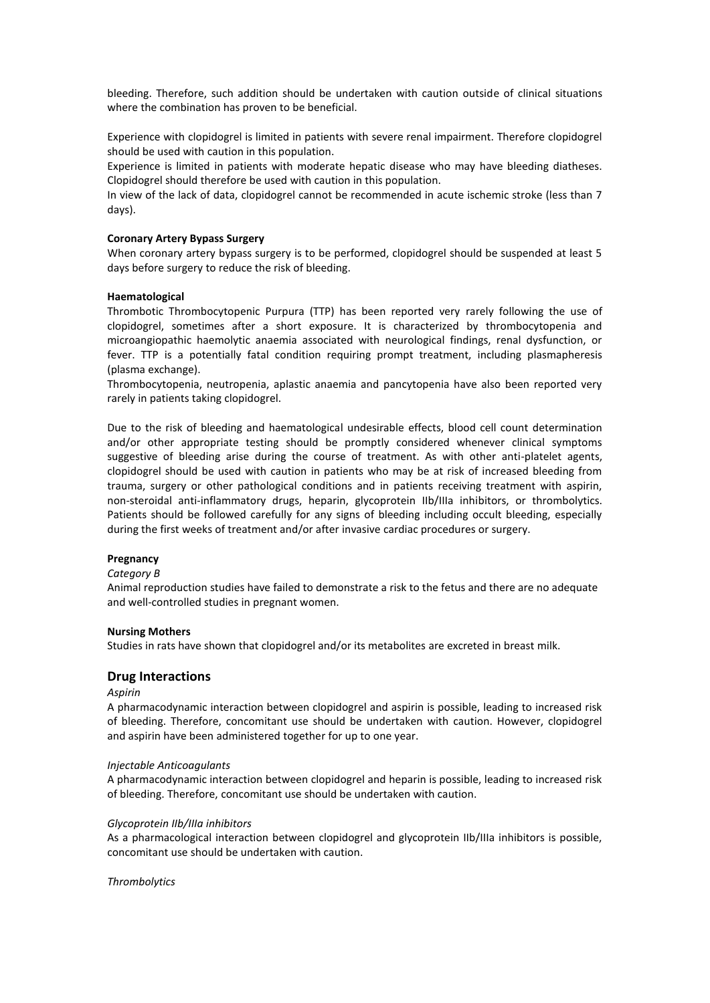bleeding. Therefore, such addition should be undertaken with caution outside of clinical situations where the combination has proven to be beneficial.

Experience with clopidogrel is limited in patients with severe renal impairment. Therefore clopidogrel should be used with caution in this population.

Experience is limited in patients with moderate hepatic disease who may have bleeding diatheses. Clopidogrel should therefore be used with caution in this population.

In view of the lack of data, clopidogrel cannot be recommended in acute ischemic stroke (less than 7 days).

#### **Coronary Artery Bypass Surgery**

When coronary artery bypass surgery is to be performed, clopidogrel should be suspended at least 5 days before surgery to reduce the risk of bleeding.

#### **Haematological**

Thrombotic Thrombocytopenic Purpura (TTP) has been reported very rarely following the use of clopidogrel, sometimes after a short exposure. It is characterized by thrombocytopenia and microangiopathic haemolytic anaemia associated with neurological findings, renal dysfunction, or fever. TTP is a potentially fatal condition requiring prompt treatment, including plasmapheresis (plasma exchange).

Thrombocytopenia, neutropenia, aplastic anaemia and pancytopenia have also been reported very rarely in patients taking clopidogrel.

Due to the risk of bleeding and haematological undesirable effects, blood cell count determination and/or other appropriate testing should be promptly considered whenever clinical symptoms suggestive of bleeding arise during the course of treatment. As with other anti-platelet agents, clopidogrel should be used with caution in patients who may be at risk of increased bleeding from trauma, surgery or other pathological conditions and in patients receiving treatment with aspirin, non-steroidal anti-inflammatory drugs, heparin, glycoprotein IIb/IIIa inhibitors, or thrombolytics. Patients should be followed carefully for any signs of bleeding including occult bleeding, especially during the first weeks of treatment and/or after invasive cardiac procedures or surgery.

#### **Pregnancy**

#### *Category B*

Animal reproduction studies have failed to demonstrate a risk to the fetus and there are no adequate and well-controlled studies in pregnant women.

#### **Nursing Mothers**

Studies in rats have shown that clopidogrel and/or its metabolites are excreted in breast milk.

# **Drug Interactions**

#### *Aspirin*

A pharmacodynamic interaction between clopidogrel and aspirin is possible, leading to increased risk of bleeding. Therefore, concomitant use should be undertaken with caution. However, clopidogrel and aspirin have been administered together for up to one year.

#### *Injectable Anticoagulants*

A pharmacodynamic interaction between clopidogrel and heparin is possible, leading to increased risk of bleeding. Therefore, concomitant use should be undertaken with caution.

# *Glycoprotein IIb/IIIa inhibitors*

As a pharmacological interaction between clopidogrel and glycoprotein IIb/IIIa inhibitors is possible, concomitant use should be undertaken with caution.

*Thrombolytics*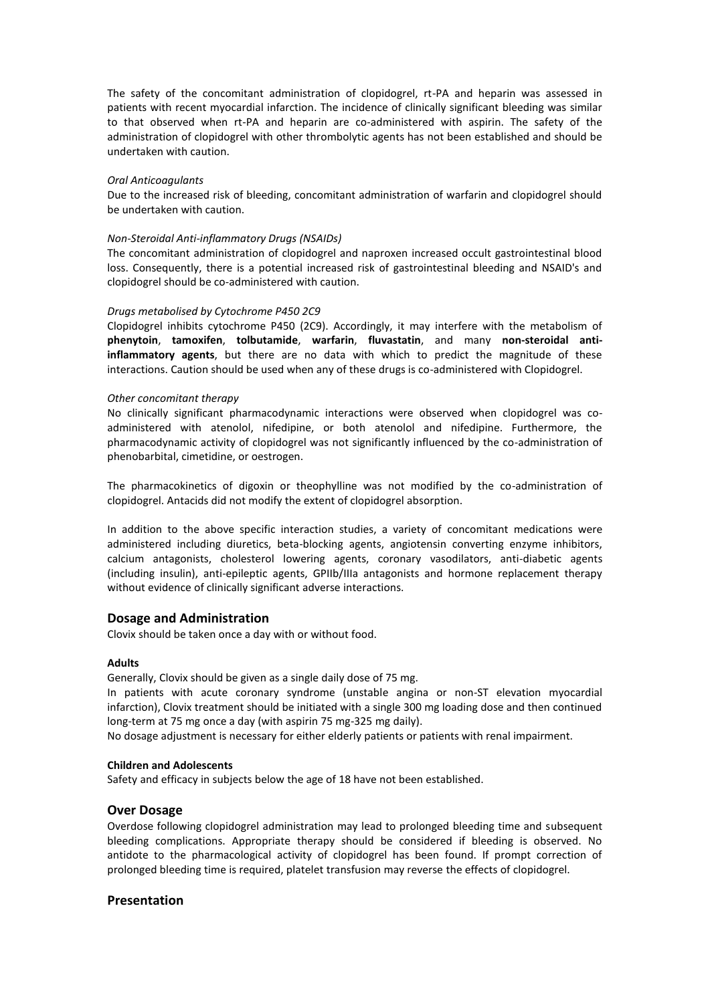The safety of the concomitant administration of clopidogrel, rt-PA and heparin was assessed in patients with recent myocardial infarction. The incidence of clinically significant bleeding was similar to that observed when rt-PA and heparin are co-administered with aspirin. The safety of the administration of clopidogrel with other thrombolytic agents has not been established and should be undertaken with caution.

# *Oral Anticoagulants*

Due to the increased risk of bleeding, concomitant administration of warfarin and clopidogrel should be undertaken with caution.

# *Non-Steroidal Anti-inflammatory Drugs (NSAIDs)*

The concomitant administration of clopidogrel and naproxen increased occult gastrointestinal blood loss. Consequently, there is a potential increased risk of gastrointestinal bleeding and NSAID's and clopidogrel should be co-administered with caution.

# *Drugs metabolised by Cytochrome P450 2C9*

Clopidogrel inhibits cytochrome P450 (2C9). Accordingly, it may interfere with the metabolism of **phenytoin**, **tamoxifen**, **tolbutamide**, **warfarin**, **fluvastatin**, and many **non-steroidal antiinflammatory agents**, but there are no data with which to predict the magnitude of these interactions. Caution should be used when any of these drugs is co-administered with Clopidogrel.

# *Other concomitant therapy*

No clinically significant pharmacodynamic interactions were observed when clopidogrel was coadministered with atenolol, nifedipine, or both atenolol and nifedipine. Furthermore, the pharmacodynamic activity of clopidogrel was not significantly influenced by the co-administration of phenobarbital, cimetidine, or oestrogen.

The pharmacokinetics of digoxin or theophylline was not modified by the co-administration of clopidogrel. Antacids did not modify the extent of clopidogrel absorption.

In addition to the above specific interaction studies, a variety of concomitant medications were administered including diuretics, beta-blocking agents, angiotensin converting enzyme inhibitors, calcium antagonists, cholesterol lowering agents, coronary vasodilators, anti-diabetic agents (including insulin), anti-epileptic agents, GPIIb/IIIa antagonists and hormone replacement therapy without evidence of clinically significant adverse interactions.

# **Dosage and Administration**

Clovix should be taken once a day with or without food.

# **Adults**

Generally, Clovix should be given as a single daily dose of 75 mg.

In patients with acute coronary syndrome (unstable angina or non-ST elevation myocardial infarction), Clovix treatment should be initiated with a single 300 mg loading dose and then continued long-term at 75 mg once a day (with aspirin 75 mg-325 mg daily).

No dosage adjustment is necessary for either elderly patients or patients with renal impairment.

### **Children and Adolescents**

Safety and efficacy in subjects below the age of 18 have not been established.

# **Over Dosage**

Overdose following clopidogrel administration may lead to prolonged bleeding time and subsequent bleeding complications. Appropriate therapy should be considered if bleeding is observed. No antidote to the pharmacological activity of clopidogrel has been found. If prompt correction of prolonged bleeding time is required, platelet transfusion may reverse the effects of clopidogrel.

# **Presentation**